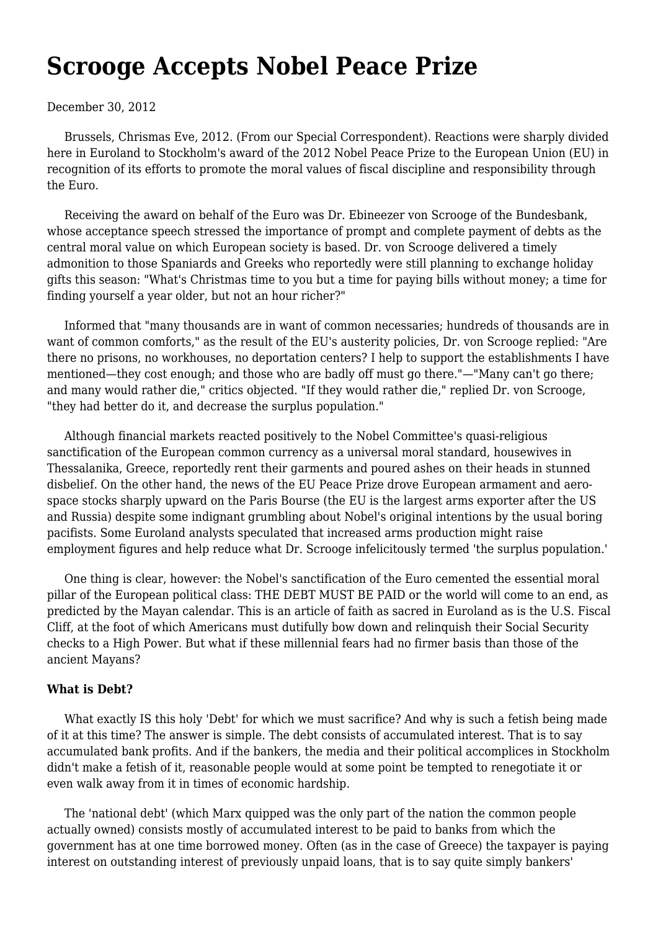## **[Scrooge Accepts Nobel Peace Prize](https://newpol.org/scrooge-accepts-nobel-peace-prize/)**

## December 30, 2012

 Brussels, Chrismas Eve, 2012. (From our Special Correspondent). Reactions were sharply divided here in Euroland to Stockholm's award of the 2012 Nobel Peace Prize to the European Union (EU) in recognition of its efforts to promote the moral values of fiscal discipline and responsibility through the Euro.

 Receiving the award on behalf of the Euro was Dr. Ebineezer von Scrooge of the Bundesbank, whose acceptance speech stressed the importance of prompt and complete payment of debts as the central moral value on which European society is based. Dr. von Scrooge delivered a timely admonition to those Spaniards and Greeks who reportedly were still planning to exchange holiday gifts this season: "What's Christmas time to you but a time for paying bills without money; a time for finding yourself a year older, but not an hour richer?"

 Informed that "many thousands are in want of common necessaries; hundreds of thousands are in want of common comforts," as the result of the EU's austerity policies, Dr. von Scrooge replied: "Are there no prisons, no workhouses, no deportation centers? I help to support the establishments I have mentioned—they cost enough; and those who are badly off must go there."—"Many can't go there; and many would rather die," critics objected. "If they would rather die," replied Dr. von Scrooge, "they had better do it, and decrease the surplus population."

 Although financial markets reacted positively to the Nobel Committee's quasi-religious sanctification of the European common currency as a universal moral standard, housewives in Thessalanika, Greece, reportedly rent their garments and poured ashes on their heads in stunned disbelief. On the other hand, the news of the EU Peace Prize drove European armament and aerospace stocks sharply upward on the Paris Bourse (the EU is the largest arms exporter after the US and Russia) despite some indignant grumbling about Nobel's original intentions by the usual boring pacifists. Some Euroland analysts speculated that increased arms production might raise employment figures and help reduce what Dr. Scrooge infelicitously termed 'the surplus population.'

 One thing is clear, however: the Nobel's sanctification of the Euro cemented the essential moral pillar of the European political class: THE DEBT MUST BE PAID or the world will come to an end, as predicted by the Mayan calendar. This is an article of faith as sacred in Euroland as is the U.S. Fiscal Cliff, at the foot of which Americans must dutifully bow down and relinquish their Social Security checks to a High Power. But what if these millennial fears had no firmer basis than those of the ancient Mayans?

## **What is Debt?**

 What exactly IS this holy 'Debt' for which we must sacrifice? And why is such a fetish being made of it at this time? The answer is simple. The debt consists of accumulated interest. That is to say accumulated bank profits. And if the bankers, the media and their political accomplices in Stockholm didn't make a fetish of it, reasonable people would at some point be tempted to renegotiate it or even walk away from it in times of economic hardship.

 The 'national debt' (which Marx quipped was the only part of the nation the common people actually owned) consists mostly of accumulated interest to be paid to banks from which the government has at one time borrowed money. Often (as in the case of Greece) the taxpayer is paying interest on outstanding interest of previously unpaid loans, that is to say quite simply bankers'